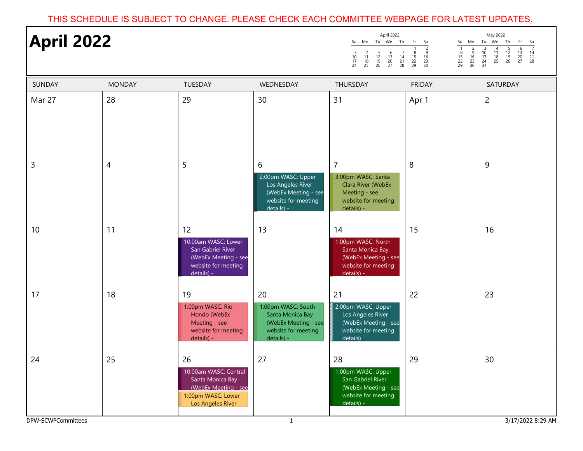## THIS SCHEDULE IS SUBJECT TO CHANGE. PLEASE CHECK EACH COMMITTEE WEBPAGE FOR LATEST UPDATES.

| <b>April 2022</b> |                |                                                                                                                    |                                                                                                           | April 2022<br>May 2022<br>Su Mo Tu We Th<br>Fr<br>Sa<br>Su Mo<br>Tu We<br>Th<br>Fr<br>Sa<br>$\frac{7}{14}$<br>$\frac{14}{21}$<br>28<br>$\frac{1}{8}$<br>$\frac{15}{22}$<br>29<br>$\frac{2}{9}$<br>$\frac{3}{10}$<br>$\frac{17}{24}$<br>$\begin{array}{c} 4 \\ 11 \\ 18 \\ 25 \end{array}$<br>$\frac{5}{12}$<br>$\frac{12}{19}$<br>26<br>$\begin{array}{r}\n 6 \\  13 \\  20 \\  27\n\end{array}$<br>$\begin{array}{c}\n1 \\ 18 \\ 22 \\ 29\n\end{array}$<br>$\frac{2}{9}$<br>$\frac{16}{23}$<br>$\frac{23}{30}$<br>$\begin{array}{c} 7 \\ 14 \\ 21 \\ 28 \end{array}$<br>$\begin{array}{c} 3 \\ 10 \\ 17 \\ 24 \end{array}$<br>$\frac{4}{11}$<br>$\frac{5}{12}$<br>$\frac{12}{19}$<br>26<br>$\begin{array}{c} 6 \\ 13 \\ 20 \\ 27 \end{array}$<br>16<br>$\frac{18}{25}$<br>$\begin{array}{c} 23 \\ 30 \end{array}$<br>31 |               |                |
|-------------------|----------------|--------------------------------------------------------------------------------------------------------------------|-----------------------------------------------------------------------------------------------------------|--------------------------------------------------------------------------------------------------------------------------------------------------------------------------------------------------------------------------------------------------------------------------------------------------------------------------------------------------------------------------------------------------------------------------------------------------------------------------------------------------------------------------------------------------------------------------------------------------------------------------------------------------------------------------------------------------------------------------------------------------------------------------------------------------------------------------|---------------|----------------|
| <b>SUNDAY</b>     | <b>MONDAY</b>  | TUESDAY                                                                                                            | WEDNESDAY                                                                                                 | THURSDAY                                                                                                                                                                                                                                                                                                                                                                                                                                                                                                                                                                                                                                                                                                                                                                                                                 | <b>FRIDAY</b> | SATURDAY       |
| Mar 27            | 28             | 29                                                                                                                 | 30                                                                                                        | 31                                                                                                                                                                                                                                                                                                                                                                                                                                                                                                                                                                                                                                                                                                                                                                                                                       | Apr 1         | $\overline{2}$ |
| 3                 | $\overline{4}$ | 5                                                                                                                  | 6<br>2:00pm WASC: Upper<br>Los Angeles River<br>(WebEx Meeting - see<br>website for meeting<br>details) - | $\overline{7}$<br>3:00pm WASC: Santa<br><b>Clara River (WebEx</b><br>Meeting - see<br>website for meeting<br>details) -                                                                                                                                                                                                                                                                                                                                                                                                                                                                                                                                                                                                                                                                                                  | 8             | 9              |
| 10                | 11             | 12<br>10:00am WASC: Lower<br>San Gabriel River<br>(WebEx Meeting - see<br>website for meeting<br>details) -        | 13                                                                                                        | 14<br>1:00pm WASC: North<br>Santa Monica Bay<br>(WebEx Meeting - see<br>website for meeting<br>details) -                                                                                                                                                                                                                                                                                                                                                                                                                                                                                                                                                                                                                                                                                                                | 15            | 16             |
| 17                | 18             | 19<br>1:00pm WASC: Rio<br>Hondo (WebEx<br>Meeting - see<br>website for meeting<br>details) -                       | 20<br>1:00pm WASC: South<br>Santa Monica Bay<br>(WebEx Meeting - see<br>website for meeting<br>details) - | 21<br>2:00pm WASC: Upper<br>Los Angeles River<br>(WebEx Meeting - see<br>website for meeting<br>details)                                                                                                                                                                                                                                                                                                                                                                                                                                                                                                                                                                                                                                                                                                                 | 22            | 23             |
| 24                | 25             | 26<br>10:00am WASC: Central<br>Santa Monica Bay<br>(WebEx Meeting - see<br>1:00pm WASC: Lower<br>Los Angeles River | 27                                                                                                        | 28<br>1:00pm WASC: Upper<br>San Gabriel River<br>(WebEx Meeting - see<br>website for meeting<br>details) -                                                                                                                                                                                                                                                                                                                                                                                                                                                                                                                                                                                                                                                                                                               | 29            | 30             |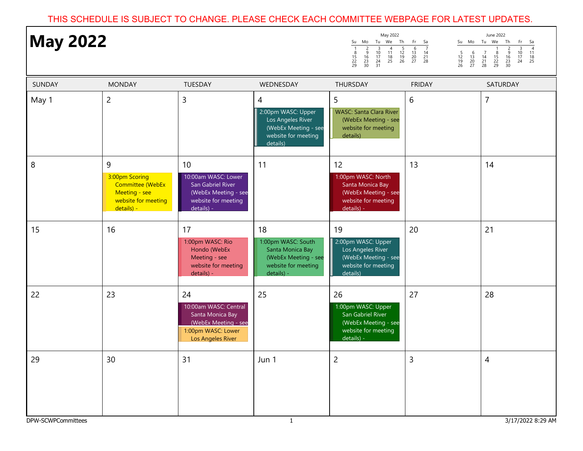## THIS SCHEDULE IS SUBJECT TO CHANGE. PLEASE CHECK EACH COMMITTEE WEBPAGE FOR LATEST UPDATES.

| <b>May 2022</b>          |                                                                                               |                                                                                                                    |                                                                                                           | May 2022<br>Su Mo Tu We Th<br>$\frac{15}{22}$<br>29                                                        | Fr<br>Su Mo Tu We<br>Sa<br>$\begin{array}{@{}c@{\hspace{1em}}c@{\hspace{1em}}}\n 6 & 7 \\  \hline\n 13 & 14 \\  20 & 21 \\  27 & 28\n \end{array}$<br>$\frac{5}{12}$<br>$\frac{19}{26}$<br>$\begin{array}{c} 6 \\ 13 \\ 20 \\ 27 \end{array}$ | June 2022<br>Th<br>Fr<br>Sa<br>$\frac{4}{11}$<br>$\frac{18}{25}$<br>$\begin{array}{c}\n 3 \\  10 \\  17 \\  24\n\end{array}$<br>$\frac{2}{9}$<br>$\overline{7}$<br>$\frac{8}{15}$<br>22<br>29<br>$\frac{14}{21}$<br>28<br>$\begin{array}{c} 16 \\ 23 \\ 30 \end{array}$ |
|--------------------------|-----------------------------------------------------------------------------------------------|--------------------------------------------------------------------------------------------------------------------|-----------------------------------------------------------------------------------------------------------|------------------------------------------------------------------------------------------------------------|-----------------------------------------------------------------------------------------------------------------------------------------------------------------------------------------------------------------------------------------------|-------------------------------------------------------------------------------------------------------------------------------------------------------------------------------------------------------------------------------------------------------------------------|
| <b>SUNDAY</b>            | <b>MONDAY</b>                                                                                 | TUESDAY                                                                                                            | WEDNESDAY                                                                                                 | THURSDAY                                                                                                   | <b>FRIDAY</b>                                                                                                                                                                                                                                 | SATURDAY                                                                                                                                                                                                                                                                |
| May 1                    | $\overline{2}$                                                                                | $\mathsf 3$                                                                                                        | 4<br>2:00pm WASC: Upper<br>Los Angeles River<br>(WebEx Meeting - see<br>website for meeting<br>details)   | 5<br><b>WASC: Santa Clara River</b><br>(WebEx Meeting - see<br>website for meeting<br>details)             | 6                                                                                                                                                                                                                                             | $\overline{7}$                                                                                                                                                                                                                                                          |
| 8                        | 9<br>3:00pm Scoring<br>Committee (WebEx<br>Meeting - see<br>website for meeting<br>details) - | 10<br>10:00am WASC: Lower<br>San Gabriel River<br>(WebEx Meeting - see<br>website for meeting<br>details) -        | 11                                                                                                        | 12<br>1:00pm WASC: North<br>Santa Monica Bay<br>(WebEx Meeting - see<br>website for meeting<br>details) -  | 13                                                                                                                                                                                                                                            | 14                                                                                                                                                                                                                                                                      |
| 15                       | 16                                                                                            | 17<br>1:00pm WASC: Rio<br>Hondo (WebEx<br>Meeting - see<br>website for meeting<br>details) -                       | 18<br>1:00pm WASC: South<br>Santa Monica Bay<br>(WebEx Meeting - see<br>website for meeting<br>details) - | 19<br>2:00pm WASC: Upper<br>Los Angeles River<br>(WebEx Meeting - see<br>website for meeting<br>details)   | 20                                                                                                                                                                                                                                            | 21                                                                                                                                                                                                                                                                      |
| 22                       | 23                                                                                            | 24<br>10:00am WASC: Central<br>Santa Monica Bay<br>(WebEx Meeting - see<br>1:00pm WASC: Lower<br>Los Angeles River | 25                                                                                                        | 26<br>1:00pm WASC: Upper<br>San Gabriel River<br>(WebEx Meeting - see<br>website for meeting<br>details) - | 27                                                                                                                                                                                                                                            | 28                                                                                                                                                                                                                                                                      |
| 29<br>DPW-SCWPCommittees | 30                                                                                            | 31                                                                                                                 | Jun 1<br>$\mathbf{1}$                                                                                     | $\overline{c}$                                                                                             | 3                                                                                                                                                                                                                                             | $\overline{4}$<br>3/17/2022 8:29 AM                                                                                                                                                                                                                                     |